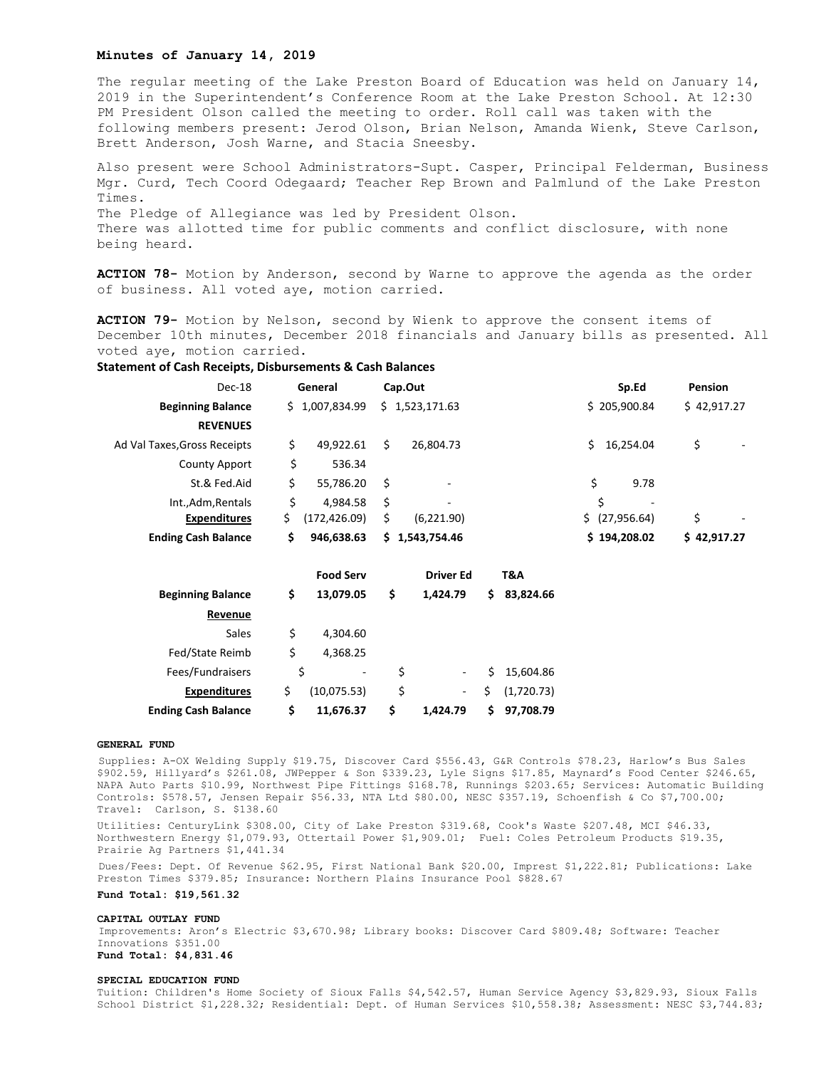## **Minutes of January 14, 2019**

The regular meeting of the Lake Preston Board of Education was held on January 14, 2019 in the Superintendent's Conference Room at the Lake Preston School. At 12:30 PM President Olson called the meeting to order. Roll call was taken with the following members present: Jerod Olson, Brian Nelson, Amanda Wienk, Steve Carlson, Brett Anderson, Josh Warne, and Stacia Sneesby.

Also present were School Administrators-Supt. Casper, Principal Felderman, Business Mgr. Curd, Tech Coord Odegaard; Teacher Rep Brown and Palmlund of the Lake Preston Times. The Pledge of Allegiance was led by President Olson. There was allotted time for public comments and conflict disclosure, with none being heard.

**ACTION 78-** Motion by Anderson, second by Warne to approve the agenda as the order of business. All voted aye, motion carried.

**ACTION 79-** Motion by Nelson, second by Wienk to approve the consent items of December 10th minutes, December 2018 financials and January bills as presented. All voted aye, motion carried.

# **Statement of Cash Receipts, Disbursements & Cash Balances**

| Dec-18                       |    | General        | Cap.Out |                |    | Sp.Ed                    | Pension     |  |
|------------------------------|----|----------------|---------|----------------|----|--------------------------|-------------|--|
| <b>Beginning Balance</b>     |    | \$1,007,834.99 |         | \$1,523,171.63 |    | \$205,900.84             | \$42,917.27 |  |
| <b>REVENUES</b>              |    |                |         |                |    |                          |             |  |
| Ad Val Taxes, Gross Receipts | \$ | 49,922.61      | \$      | 26,804.73      | Ś. | 16.254.04                | \$          |  |
| County Apport                | \$ | 536.34         |         |                |    |                          |             |  |
| St.& Fed.Aid                 | \$ | 55,786.20      | - \$    | ٠              | \$ | 9.78                     |             |  |
| Int., Adm, Rentals           | Ś  | 4.984.58       | \$      | ٠              | Ś  | $\overline{\phantom{a}}$ |             |  |
| <b>Expenditures</b>          | \$ | (172, 426.09)  | \$      | (6,221.90)     |    | \$ (27,956.64)           | \$<br>۰     |  |
| <b>Ending Cash Balance</b>   | S  | 946.638.63     |         | \$1,543,754.46 |    | \$194,208.02             | \$42,917.27 |  |
|                              |    |                |         |                |    |                          |             |  |

|                            | <b>Food Serv</b> |    | <b>Driver Ed</b> |    | T&A         |
|----------------------------|------------------|----|------------------|----|-------------|
| <b>Beginning Balance</b>   | \$<br>13,079.05  | \$ | 1,424.79         | Ś  | 83,824.66   |
| Revenue                    |                  |    |                  |    |             |
| Sales                      | \$<br>4,304.60   |    |                  |    |             |
| Fed/State Reimb            | \$<br>4,368.25   |    |                  |    |             |
| Fees/Fundraisers           | \$<br>۰          | \$ |                  |    | \$15,604.86 |
| <b>Expenditures</b>        | (10,075.53)      | \$ | ٠                | \$ | (1,720.73)  |
| <b>Ending Cash Balance</b> | \$<br>11,676.37  | Ś  | 1.424.79         | Ś. | 97,708.79   |

#### **GENERAL FUND**

Supplies: A-OX Welding Supply \$19.75, Discover Card \$556.43, G&R Controls \$78.23, Harlow's Bus Sales \$902.59, Hillyard's \$261.08, JWPepper & Son \$339.23, Lyle Signs \$17.85, Maynard's Food Center \$246.65, NAPA Auto Parts \$10.99, Northwest Pipe Fittings \$168.78, Runnings \$203.65; Services: Automatic Building Controls: \$578.57, Jensen Repair \$56.33, NTA Ltd \$80.00, NESC \$357.19, Schoenfish & Co \$7,700.00; Travel: Carlson, S. \$138.60

Utilities: CenturyLink \$308.00, City of Lake Preston \$319.68, Cook's Waste \$207.48, MCI \$46.33, Northwestern Energy \$1,079.93, Ottertail Power \$1,909.01; Fuel: Coles Petroleum Products \$19.35, Prairie Ag Partners \$1,441.34

Dues/Fees: Dept. Of Revenue \$62.95, First National Bank \$20.00, Imprest \$1,222.81; Publications: Lake Preston Times \$379.85; Insurance: Northern Plains Insurance Pool \$828.67

**Fund Total: \$19,561.32**

#### **CAPITAL OUTLAY FUND**

Improvements: Aron's Electric \$3,670.98; Library books: Discover Card \$809.48; Software: Teacher Innovations \$351.00 **Fund Total: \$4,831.46**

#### **SPECIAL EDUCATION FUND**

Tuition: Children's Home Society of Sioux Falls \$4,542.57, Human Service Agency \$3,829.93, Sioux Falls School District \$1,228.32; Residential: Dept. of Human Services \$10,558.38; Assessment: NESC \$3,744.83;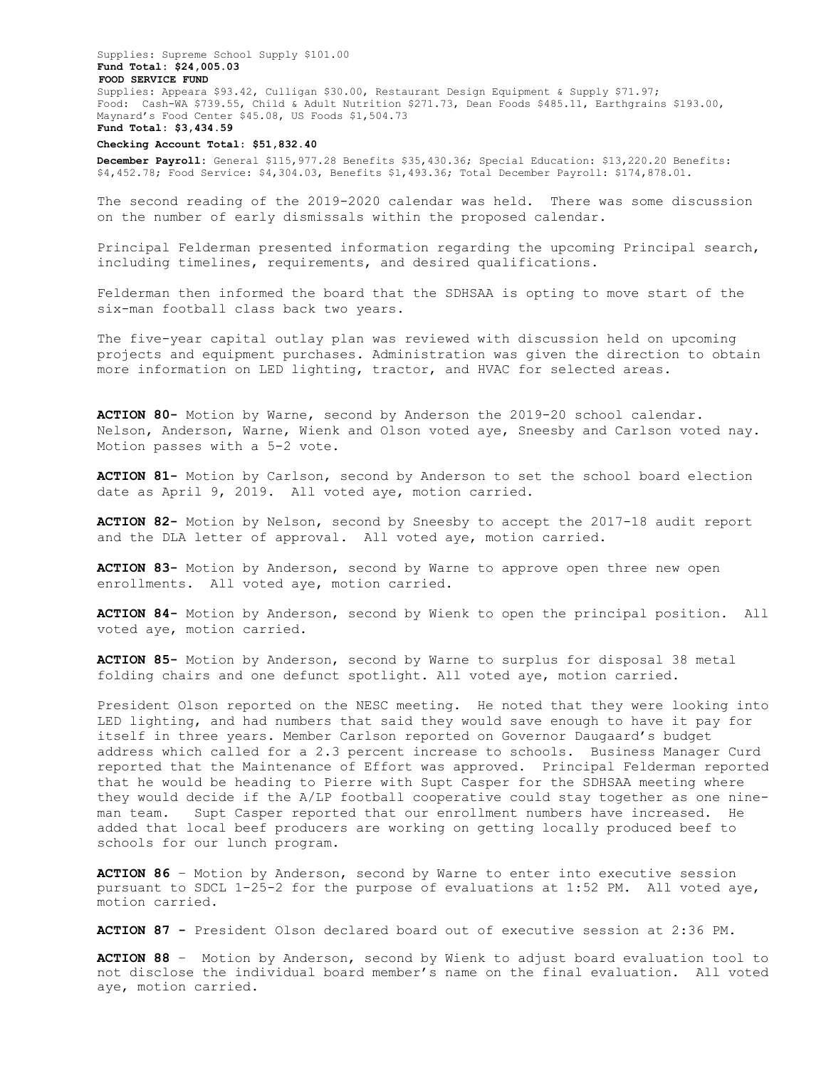Supplies: Supreme School Supply \$101.00 **Fund Total: \$24,005.03 FOOD SERVICE FUND**  Supplies: Appeara \$93.42, Culligan \$30.00, Restaurant Design Equipment & Supply \$71.97; Food: Cash-WA \$739.55, Child & Adult Nutrition \$271.73, Dean Foods \$485.11, Earthgrains \$193.00, Maynard's Food Center \$45.08, US Foods \$1,504.73 **Fund Total: \$3,434.59**

### **Checking Account Total: \$51,832.40**

**December Payroll:** General \$115,977.28 Benefits \$35,430.36; Special Education: \$13,220.20 Benefits: \$4,452.78; Food Service: \$4,304.03, Benefits \$1,493.36; Total December Payroll: \$174,878.01.

The second reading of the 2019-2020 calendar was held. There was some discussion on the number of early dismissals within the proposed calendar.

Principal Felderman presented information regarding the upcoming Principal search, including timelines, requirements, and desired qualifications.

Felderman then informed the board that the SDHSAA is opting to move start of the six-man football class back two years.

The five-year capital outlay plan was reviewed with discussion held on upcoming projects and equipment purchases. Administration was given the direction to obtain more information on LED lighting, tractor, and HVAC for selected areas.

**ACTION 80-** Motion by Warne, second by Anderson the 2019-20 school calendar. Nelson, Anderson, Warne, Wienk and Olson voted aye, Sneesby and Carlson voted nay. Motion passes with a 5-2 vote.

**ACTION 81-** Motion by Carlson, second by Anderson to set the school board election date as April 9, 2019. All voted aye, motion carried.

**ACTION 82-** Motion by Nelson, second by Sneesby to accept the 2017-18 audit report and the DLA letter of approval. All voted aye, motion carried.

**ACTION 83-** Motion by Anderson, second by Warne to approve open three new open enrollments. All voted aye, motion carried.

**ACTION 84-** Motion by Anderson, second by Wienk to open the principal position. All voted aye, motion carried.

**ACTION 85-** Motion by Anderson, second by Warne to surplus for disposal 38 metal folding chairs and one defunct spotlight. All voted aye, motion carried.

President Olson reported on the NESC meeting. He noted that they were looking into LED lighting, and had numbers that said they would save enough to have it pay for itself in three years. Member Carlson reported on Governor Daugaard's budget address which called for a 2.3 percent increase to schools. Business Manager Curd reported that the Maintenance of Effort was approved. Principal Felderman reported that he would be heading to Pierre with Supt Casper for the SDHSAA meeting where they would decide if the A/LP football cooperative could stay together as one nineman team. Supt Casper reported that our enrollment numbers have increased. He added that local beef producers are working on getting locally produced beef to schools for our lunch program.

**ACTION 86** – Motion by Anderson, second by Warne to enter into executive session pursuant to SDCL 1-25-2 for the purpose of evaluations at 1:52 PM. All voted aye, motion carried.

**ACTION 87 -** President Olson declared board out of executive session at 2:36 PM.

**ACTION 88** – Motion by Anderson, second by Wienk to adjust board evaluation tool to not disclose the individual board member's name on the final evaluation. All voted aye, motion carried.